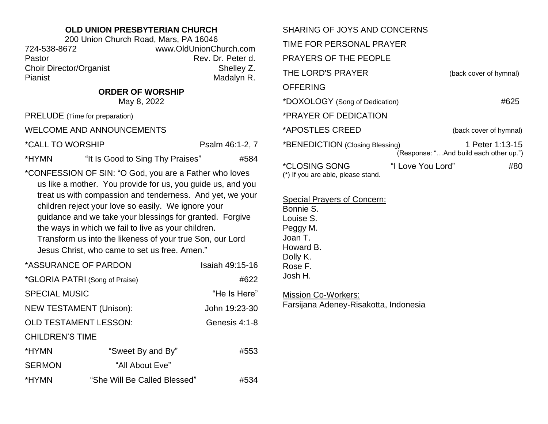## **OLD UNION PRESBYTERIAN CHURCH**

200 Union Church Road, Mars, PA 16046 724-538-8672 www.OldUnionChurch.com Pastor **Rev. Dr. Peter d.** Rev. Dr. Peter d. Choir Director/Organist Shelley Z. Pianist Madalyn R.

**ORDER OF WORSHIP**

May 8, 2022

PRELUDE (Time for preparation)

WELCOME AND ANNOUNCEMENTS

\*CALL TO WORSHIP PSALL TO WORSHIP

\*HYMN "It Is Good to Sing Thy Praises" #584

\*CONFESSION OF SIN: "O God, you are a Father who loves us like a mother. You provide for us, you guide us, and you treat us with compassion and tenderness. And yet, we your children reject your love so easily. We ignore your guidance and we take your blessings for granted. Forgive the ways in which we fail to live as your children. Transform us into the likeness of your true Son, our Lord Jesus Christ, who came to set us free. Amen."

| *ASSURANCE OF PARDON           |                              | Isaiah 49:15-16 |
|--------------------------------|------------------------------|-----------------|
| *GLORIA PATRI (Song of Praise) |                              | #622            |
| <b>SPECIAL MUSIC</b>           |                              | "He Is Here"    |
| <b>NEW TESTAMENT (Unison):</b> |                              | John 19:23-30   |
| <b>OLD TESTAMENT LESSON:</b>   |                              | Genesis 4:1-8   |
| <b>CHILDREN'S TIME</b>         |                              |                 |
| *HYMN                          | "Sweet By and By"            | #553            |
| <b>SERMON</b>                  | "All About Eve"              |                 |
| *HYMN                          | "She Will Be Called Blessed" | #534            |

| SHARING OF JOYS AND CONCERNS                                      |                   |                                                           |
|-------------------------------------------------------------------|-------------------|-----------------------------------------------------------|
| TIME FOR PERSONAL PRAYER                                          |                   |                                                           |
| <b>PRAYERS OF THE PEOPLE</b>                                      |                   |                                                           |
| THE LORD'S PRAYER                                                 |                   | (back cover of hymnal)                                    |
| <b>OFFERING</b>                                                   |                   |                                                           |
| *DOXOLOGY (Song of Dedication)                                    |                   | #625                                                      |
| *PRAYER OF DEDICATION                                             |                   |                                                           |
| *APOSTLES CREED                                                   |                   | (back cover of hymnal)                                    |
| *BENEDICTION (Closing Blessing)                                   |                   | 1 Peter 1:13-15<br>(Response: "And build each other up.") |
| <i><b>*CLOSING SONG</b></i><br>(*) If you are able, please stand. | "I Love You Lord" | #80                                                       |

Special Prayers of Concern:

Bonnie S. Louise S. Peggy M. Joan T. Howard B. Dolly K. Rose F. Josh H.

Mission Co-Workers: Farsijana Adeney-Risakotta, Indonesia